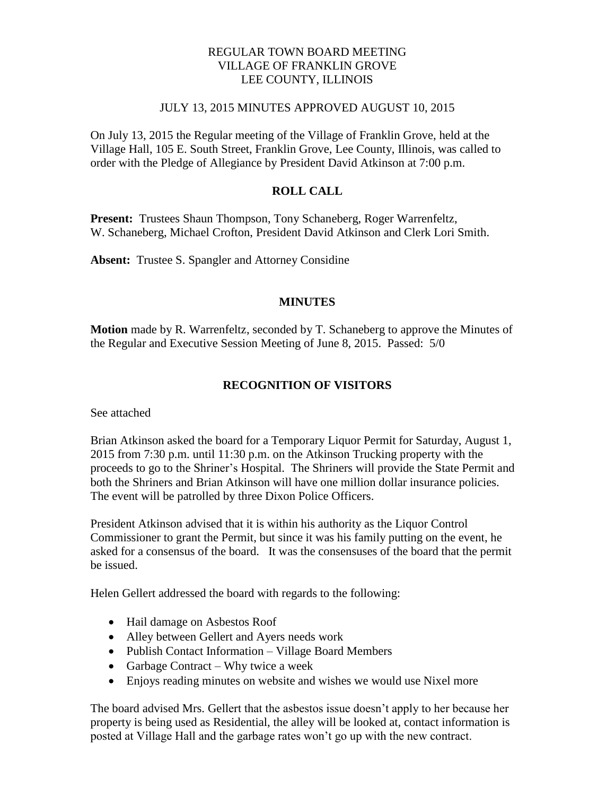## REGULAR TOWN BOARD MEETING VILLAGE OF FRANKLIN GROVE LEE COUNTY, ILLINOIS

### JULY 13, 2015 MINUTES APPROVED AUGUST 10, 2015

On July 13, 2015 the Regular meeting of the Village of Franklin Grove, held at the Village Hall, 105 E. South Street, Franklin Grove, Lee County, Illinois, was called to order with the Pledge of Allegiance by President David Atkinson at 7:00 p.m.

# **ROLL CALL**

**Present:** Trustees Shaun Thompson, Tony Schaneberg, Roger Warrenfeltz, W. Schaneberg, Michael Crofton, President David Atkinson and Clerk Lori Smith.

**Absent:** Trustee S. Spangler and Attorney Considine

## **MINUTES**

**Motion** made by R. Warrenfeltz, seconded by T. Schaneberg to approve the Minutes of the Regular and Executive Session Meeting of June 8, 2015. Passed: 5/0

# **RECOGNITION OF VISITORS**

See attached

Brian Atkinson asked the board for a Temporary Liquor Permit for Saturday, August 1, 2015 from 7:30 p.m. until 11:30 p.m. on the Atkinson Trucking property with the proceeds to go to the Shriner's Hospital. The Shriners will provide the State Permit and both the Shriners and Brian Atkinson will have one million dollar insurance policies. The event will be patrolled by three Dixon Police Officers.

President Atkinson advised that it is within his authority as the Liquor Control Commissioner to grant the Permit, but since it was his family putting on the event, he asked for a consensus of the board. It was the consensuses of the board that the permit be issued.

Helen Gellert addressed the board with regards to the following:

- Hail damage on Asbestos Roof
- Alley between Gellert and Ayers needs work
- Publish Contact Information Village Board Members
- Garbage Contract Why twice a week
- Enjoys reading minutes on website and wishes we would use Nixel more

The board advised Mrs. Gellert that the asbestos issue doesn't apply to her because her property is being used as Residential, the alley will be looked at, contact information is posted at Village Hall and the garbage rates won't go up with the new contract.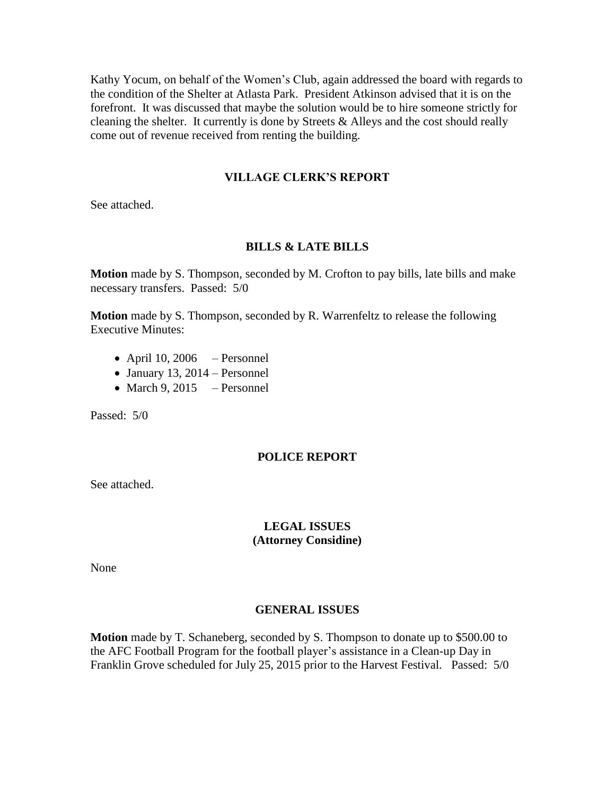Kathy Yocum, on behalf of the Women's Club, again addressed the board with regards to the condition of the Shelter at Atlasta Park. President Atkinson advised that it is on the forefront. It was discussed that maybe the solution would be to hire someone strictly for cleaning the shelter. It currently is done by Streets & Alleys and the cost should really come out of revenue received from renting the building.

### **VILLAGE CLERK'S REPORT**

See attached.

#### **BILLS & LATE BILLS**

**Motion** made by S. Thompson, seconded by M. Crofton to pay bills, late bills and make necessary transfers. Passed: 5/0

**Motion** made by S. Thompson, seconded by R. Warrenfeltz to release the following Executive Minutes:

- $\bullet$  April 10, 2006 Personnel
- $\bullet$  January 13, 2014 Personnel
- March 9, 2015 Personnel

Passed: 5/0

#### **POLICE REPORT**

See attached.

#### **LEGAL ISSUES (Attorney Considine)**

None

#### **GENERAL ISSUES**

**Motion** made by T. Schaneberg, seconded by S. Thompson to donate up to \$500.00 to the AFC Football Program for the football player's assistance in a Clean-up Day in Franklin Grove scheduled for July 25, 2015 prior to the Harvest Festival. Passed: 5/0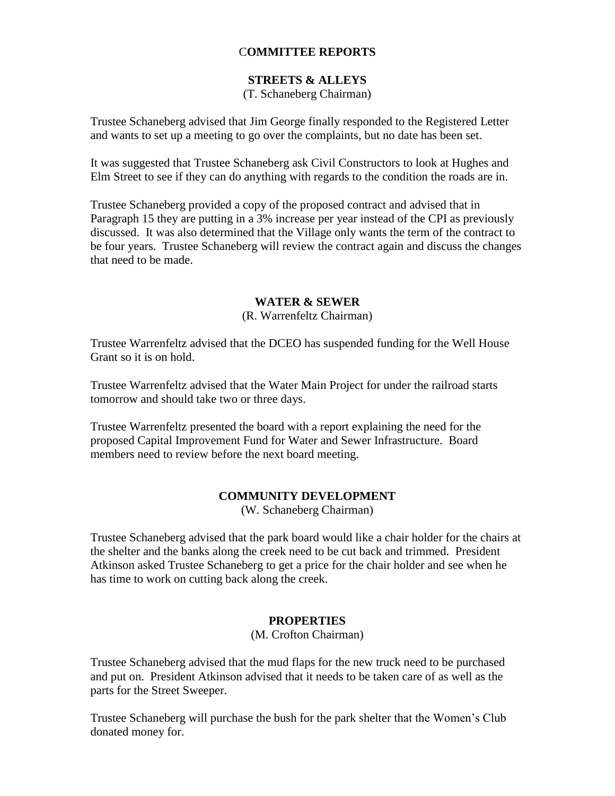## C**OMMITTEE REPORTS**

## **STREETS & ALLEYS**

## (T. Schaneberg Chairman)

Trustee Schaneberg advised that Jim George finally responded to the Registered Letter and wants to set up a meeting to go over the complaints, but no date has been set.

It was suggested that Trustee Schaneberg ask Civil Constructors to look at Hughes and Elm Street to see if they can do anything with regards to the condition the roads are in.

Trustee Schaneberg provided a copy of the proposed contract and advised that in Paragraph 15 they are putting in a 3% increase per year instead of the CPI as previously discussed. It was also determined that the Village only wants the term of the contract to be four years. Trustee Schaneberg will review the contract again and discuss the changes that need to be made.

### **WATER & SEWER**

### (R. Warrenfeltz Chairman)

Trustee Warrenfeltz advised that the DCEO has suspended funding for the Well House Grant so it is on hold.

Trustee Warrenfeltz advised that the Water Main Project for under the railroad starts tomorrow and should take two or three days.

Trustee Warrenfeltz presented the board with a report explaining the need for the proposed Capital Improvement Fund for Water and Sewer Infrastructure. Board members need to review before the next board meeting.

#### **COMMUNITY DEVELOPMENT**

(W. Schaneberg Chairman)

Trustee Schaneberg advised that the park board would like a chair holder for the chairs at the shelter and the banks along the creek need to be cut back and trimmed. President Atkinson asked Trustee Schaneberg to get a price for the chair holder and see when he has time to work on cutting back along the creek.

## **PROPERTIES**

(M. Crofton Chairman)

Trustee Schaneberg advised that the mud flaps for the new truck need to be purchased and put on. President Atkinson advised that it needs to be taken care of as well as the parts for the Street Sweeper.

Trustee Schaneberg will purchase the bush for the park shelter that the Women's Club donated money for.